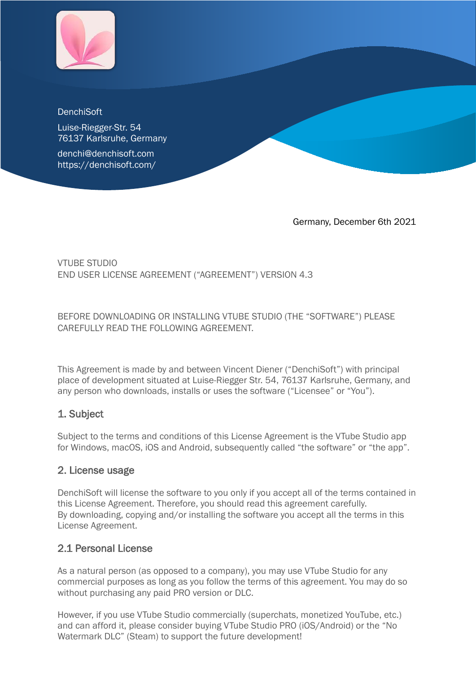

#### **DenchiSoft**

Luise-Riegger-Str. 54 76137 Karlsruhe, Germany

denchi@denchisoft.com https://denchisoft.com/

Germany, December 6th 2021

#### VTUBE STUDIO END USER LICENSE AGREEMENT ("AGREEMENT") VERSION 4.3

BEFORE DOWNLOADING OR INSTALLING VTUBE STUDIO (THE "SOFTWARE") PLEASE CAREFULLY READ THE FOLLOWING AGREEMENT.

This Agreement is made by and between Vincent Diener ("DenchiSoft") with principal place of development situated at Luise-Riegger Str. 54, 76137 Karlsruhe, Germany, and any person who downloads, installs or uses the software ("Licensee" or "You").

#### 1. Subject

Subject to the terms and conditions of this License Agreement is the VTube Studio app for Windows, macOS, iOS and Android, subsequently called "the software" or "the app".

#### 2. License usage

DenchiSoft will license the software to you only if you accept all of the terms contained in this License Agreement. Therefore, you should read this agreement carefully. By downloading, copying and/or installing the software you accept all the terms in this License Agreement.

#### 2.1 Personal License

As a natural person (as opposed to a company), you may use VTube Studio for any commercial purposes as long as you follow the terms of this agreement. You may do so without purchasing any paid PRO version or DLC.

However, if you use VTube Studio commercially (superchats, monetized YouTube, etc.) and can afford it, please consider buying VTube Studio PRO (iOS/Android) or the "No Watermark DLC" (Steam) to support the future development!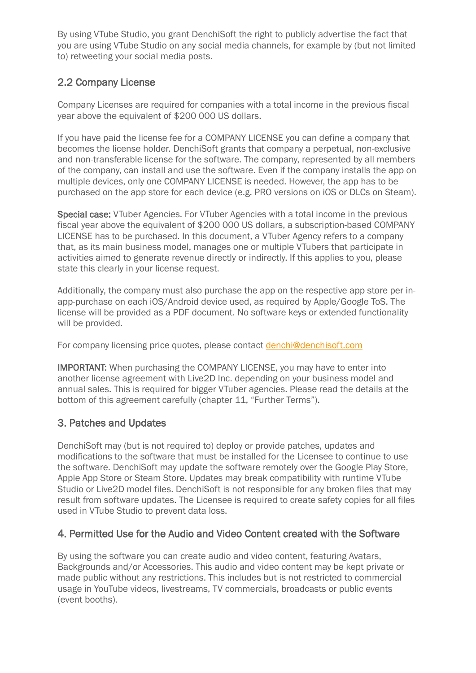By using VTube Studio, you grant DenchiSoft the right to publicly advertise the fact that you are using VTube Studio on any social media channels, for example by (but not limited to) retweeting your social media posts.

### 2.2 Company License

Company Licenses are required for companies with a total income in the previous fiscal year above the equivalent of \$200 000 US dollars.

If you have paid the license fee for a COMPANY LICENSE you can define a company that becomes the license holder. DenchiSoft grants that company a perpetual, non-exclusive and non-transferable license for the software. The company, represented by all members of the company, can install and use the software. Even if the company installs the app on multiple devices, only one COMPANY LICENSE is needed. However, the app has to be purchased on the app store for each device (e.g. PRO versions on iOS or DLCs on Steam).

Special case: VTuber Agencies. For VTuber Agencies with a total income in the previous fiscal year above the equivalent of \$200 000 US dollars, a subscription-based COMPANY LICENSE has to be purchased. In this document, a VTuber Agency refers to a company that, as its main business model, manages one or multiple VTubers that participate in activities aimed to generate revenue directly or indirectly. If this applies to you, please state this clearly in your license request.

Additionally, the company must also purchase the app on the respective app store per inapp-purchase on each iOS/Android device used, as required by Apple/Google ToS. The license will be provided as a PDF document. No software keys or extended functionality will be provided.

For company licensing price quotes, please contact [denchi@denchisoft.com](mailto:denchi@denchisoft.com)

IMPORTANT: When purchasing the COMPANY LICENSE, you may have to enter into another license agreement with Live2D Inc. depending on your business model and annual sales. This is required for bigger VTuber agencies. Please read the details at the bottom of this agreement carefully (chapter 11, "Further Terms").

# 3. Patches and Updates

DenchiSoft may (but is not required to) deploy or provide patches, updates and modifications to the software that must be installed for the Licensee to continue to use the software. DenchiSoft may update the software remotely over the Google Play Store, Apple App Store or Steam Store. Updates may break compatibility with runtime VTube Studio or Live2D model files. DenchiSoft is not responsible for any broken files that may result from software updates. The Licensee is required to create safety copies for all files used in VTube Studio to prevent data loss.

#### 4. Permitted Use for the Audio and Video Content created with the Software

By using the software you can create audio and video content, featuring Avatars, Backgrounds and/or Accessories. This audio and video content may be kept private or made public without any restrictions. This includes but is not restricted to commercial usage in YouTube videos, livestreams, TV commercials, broadcasts or public events (event booths).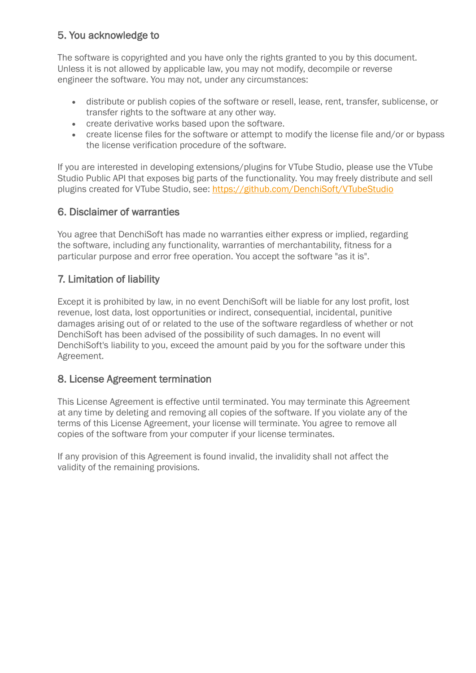# 5. You acknowledge to

The software is copyrighted and you have only the rights granted to you by this document. Unless it is not allowed by applicable law, you may not modify, decompile or reverse engineer the software. You may not, under any circumstances:

- distribute or publish copies of the software or resell, lease, rent, transfer, sublicense, or transfer rights to the software at any other way.
- create derivative works based upon the software.
- create license files for the software or attempt to modify the license file and/or or bypass the license verification procedure of the software.

If you are interested in developing extensions/plugins for VTube Studio, please use the VTube Studio Public API that exposes big parts of the functionality. You may freely distribute and sell plugins created for VTube Studio, see:<https://github.com/DenchiSoft/VTubeStudio>

### 6. Disclaimer of warranties

You agree that DenchiSoft has made no warranties either express or implied, regarding the software, including any functionality, warranties of merchantability, fitness for a particular purpose and error free operation. You accept the software "as it is".

# 7. Limitation of liability

Except it is prohibited by law, in no event DenchiSoft will be liable for any lost profit, lost revenue, lost data, lost opportunities or indirect, consequential, incidental, punitive damages arising out of or related to the use of the software regardless of whether or not DenchiSoft has been advised of the possibility of such damages. In no event will DenchiSoft's liability to you, exceed the amount paid by you for the software under this Agreement.

# 8. License Agreement termination

This License Agreement is effective until terminated. You may terminate this Agreement at any time by deleting and removing all copies of the software. If you violate any of the terms of this License Agreement, your license will terminate. You agree to remove all copies of the software from your computer if your license terminates.

If any provision of this Agreement is found invalid, the invalidity shall not affect the validity of the remaining provisions.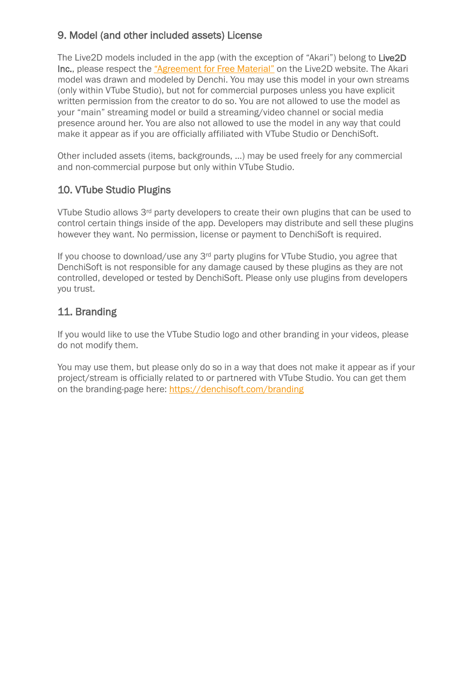### 9. Model (and other included assets) License

The Live2D models included in the app (with the exception of "Akari") belong to Live2D Inc., please respect the ["Agreement for Free Material"](https://docs.live2d.com/cubism-editor-manual/sample-model/?locale=en_us#License) on the Live2D website. The Akari model was drawn and modeled by Denchi. You may use this model in your own streams (only within VTube Studio), but not for commercial purposes unless you have explicit written permission from the creator to do so. You are not allowed to use the model as your "main" streaming model or build a streaming/video channel or social media presence around her. You are also not allowed to use the model in any way that could make it appear as if you are officially affiliated with VTube Studio or DenchiSoft.

Other included assets (items, backgrounds, …) may be used freely for any commercial and non-commercial purpose but only within VTube Studio.

### 10. VTube Studio Plugins

VTube Studio allows 3rd party developers to create their own plugins that can be used to control certain things inside of the app. Developers may distribute and sell these plugins however they want. No permission, license or payment to DenchiSoft is required.

If you choose to download/use any 3rd party plugins for VTube Studio, you agree that DenchiSoft is not responsible for any damage caused by these plugins as they are not controlled, developed or tested by DenchiSoft. Please only use plugins from developers you trust.

### 11. Branding

If you would like to use the VTube Studio logo and other branding in your videos, please do not modify them.

You may use them, but please only do so in a way that does not make it appear as if your project/stream is officially related to or partnered with VTube Studio. You can get them on the branding-page here:<https://denchisoft.com/branding>